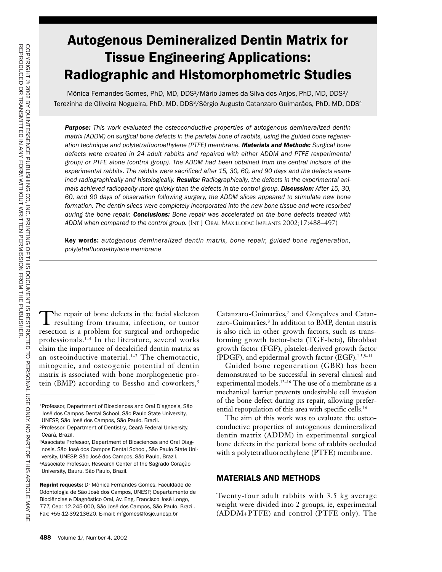# Autogenous Demineralized Dentin Matrix for Tissue Engineering Applications: Radiographic and Histomorphometric Studies

Mônica Fernandes Gomes, PhD, MD, DDS<sup>1</sup>/Mário James da Silva dos Anjos, PhD, MD, DDS<sup>2</sup>/ Terezinha de Oliveira Nogueira, PhD, MD, DDS3/Sérgio Augusto Catanzaro Guimarães, PhD, MD, DDS4

*Purpose: This work evaluated the osteoconductive properties of autogenous demineralized dentin matrix (ADDM) on surgical bone defects in the parietal bone of rabbits, using the guided bone regeneration technique and polytetrafluoroethylene (PTFE) membrane. Materials and Methods: Surgical bone defects were created in 24 adult rabbits and repaired with either ADDM and PTFE (experimental group) or PTFE alone (control group). The ADDM had been obtained from the central incisors of the experimental rabbits. The rabbits were sacrificed after 15, 30, 60, and 90 days and the defects examined radiographically and histologically. Results: Radiographically, the defects in the experimental animals achieved radiopacity more quickly than the defects in the control group. Discussion: After 15, 30, 60, and 90 days of observation following surgery, the ADDM slices appeared to stimulate new bone formation. The dentin slices were completely incorporated into the new bone tissue and were resorbed during the bone repair. Conclusions: Bone repair was accelerated on the bone defects treated with ADDM when compared to the control group.* (INT J ORAL MAXILLOFAC IMPLANTS 2002;17:488–497)

Key words: *autogenous demineralized dentin matrix, bone repair, guided bone regeneration, polytetrafluoroethylene membrane*

The repair of bone defects in the facial skeleton resulting from trauma, infection, or tumor resection is a problem for surgical and orthopedic professionals.1–4 In the literature, several works claim the importance of decalcified dentin matrix as an osteoinductive material.<sup>1-7</sup> The chemotactic, mitogenic, and osteogenic potential of dentin matrix is associated with bone morphogenetic protein (BMP) according to Bessho and coworkers,<sup>5</sup>

Catanzaro-Guimarães,7 and Gonçalves and Catanzaro-Guimarães.8 In addition to BMP, dentin matrix is also rich in other growth factors, such as transforming growth factor-beta (TGF-beta), fibroblast growth factor (FGF), platelet-derived growth factor (PDGF), and epidermal growth factor (EGF).1,5,8–11

Guided bone regeneration (GBR) has been demonstrated to be successful in several clinical and experimental models.12–16 The use of a membrane as a mechanical barrier prevents undesirable cell invasion of the bone defect during its repair, allowing preferential repopulation of this area with specific cells.16

The aim of this work was to evaluate the osteoconductive properties of autogenous demineralized dentin matrix (ADDM) in experimental surgical bone defects in the parietal bone of rabbits occluded with a polytetrafluoroethylene (PTFE) membrane.

## MATERIALS AND METHODS

Twenty-four adult rabbits with 3.5 kg average weight were divided into 2 groups, ie, experimental (ADDM+PTFE) and control (PTFE only). The

<sup>&</sup>lt;sup>1</sup>Professor, Department of Biosciences and Oral Diagnosis, São José dos Campos Dental School, São Paulo State University, UNESP, São José dos Campos, São Paulo, Brazil.

<sup>2</sup>Professor, Department of Dentistry, Ceará Federal University, Ceará, Brazil.

<sup>3</sup>Associate Professor, Department of Biosciences and Oral Diagnosis, São José dos Campos Dental School, São Paulo State University, UNESP, São José dos Campos, São Paulo, Brazil. 4Associate Professor, Research Center of the Sagrado Coração University, Bauru, São Paulo, Brazil.

Reprint requests: Dr Mônica Fernandes Gomes, Faculdade de Odontologia de São José dos Campos, UNESP, Departamento de Biociências e Diagnóstico Oral, Av. Eng. Francisco José Longo, 777, Cep: 12.245-000, São José dos Campos, São Paulo, Brazil. Fax: +55-12-39213620. E-mail: mfgomes@fosjc.unesp.br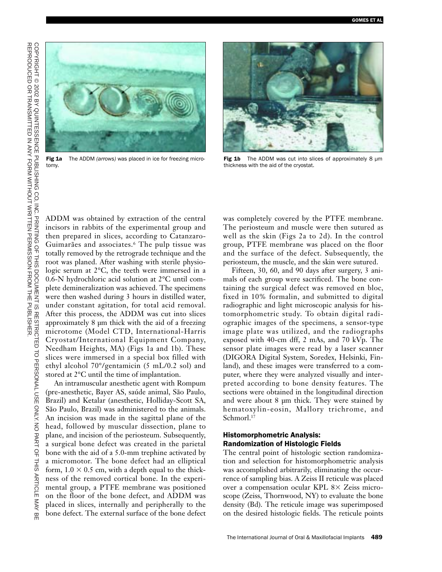

Fig 1a The ADDM *(arrows)* was placed in ice for freezing microtomy.



Fig  $1b$  The ADDM was cut into slices of approximately 8  $\mu$ m thickness with the aid of the cryostat.

ADDM was obtained by extraction of the central incisors in rabbits of the experimental group and then prepared in slices, according to Catanzaro-Guimarães and associates.6 The pulp tissue was totally removed by the retrograde technique and the root was planed. After washing with sterile physiologic serum at 2°C, the teeth were immersed in a 0.6-N hydrochloric acid solution at 2°C until complete demineralization was achieved. The specimens were then washed during 3 hours in distilled water, under constant agitation, for total acid removal. After this process, the ADDM was cut into slices approximately 8 µm thick with the aid of a freezing microtome (Model CTD, International-Harris Cryostat/International Equipment Company, Needham Heights, MA) (Figs 1a and 1b). These slices were immersed in a special box filled with ethyl alcohol 70°/gentamicin (5 mL/0.2 sol) and stored at 2°C until the time of implantation.

An intramuscular anesthetic agent with Rompum (pre-anesthetic, Bayer AS, saúde animal, São Paulo, Brazil) and Ketalar (anesthetic, Holliday-Scott SA, São Paulo, Brazil) was administered to the animals. An incision was made in the sagittal plane of the head, followed by muscular dissection, plane to plane, and incision of the periosteum. Subsequently, a surgical bone defect was created in the parietal bone with the aid of a 5.0-mm trephine activated by a micromotor. The bone defect had an elliptical form,  $1.0 \times 0.5$  cm, with a depth equal to the thickness of the removed cortical bone. In the experimental group, a PTFE membrane was positioned on the floor of the bone defect, and ADDM was placed in slices, internally and peripherally to the bone defect. The external surface of the bone defect was completely covered by the PTFE membrane. The periosteum and muscle were then sutured as well as the skin (Figs 2a to 2d). In the control group, PTFE membrane was placed on the floor and the surface of the defect. Subsequently, the periosteum, the muscle, and the skin were sutured.

Fifteen, 30, 60, and 90 days after surgery, 3 animals of each group were sacrificed. The bone containing the surgical defect was removed en bloc, fixed in 10% formalin, and submitted to digital radiographic and light microscopic analysis for histomorphometric study. To obtain digital radiographic images of the specimens, a sensor-type image plate was utilized, and the radiographs exposed with 40-cm dff, 2 mAs, and 70 kVp. The sensor plate images were read by a laser scanner (DIGORA Digital System, Soredex, Helsinki, Finland), and these images were transferred to a computer, where they were analyzed visually and interpreted according to bone density features. The sections were obtained in the longitudinal direction and were about 8 µm thick. They were stained by hematoxylin-eosin, Mallory trichrome, and Schmorl.<sup>17</sup>

# Histomorphometric Analysis: Randomization of Histologic Fields

The central point of histologic section randomization and selection for histomorphometric analysis was accomplished arbitrarily, eliminating the occurrence of sampling bias. A Zeiss II reticule was placed over a compensation ocular KPL  $8 \times$  Zeiss microscope (Zeiss, Thornwood, NY) to evaluate the bone density (Bd). The reticule image was superimposed on the desired histologic fields. The reticule points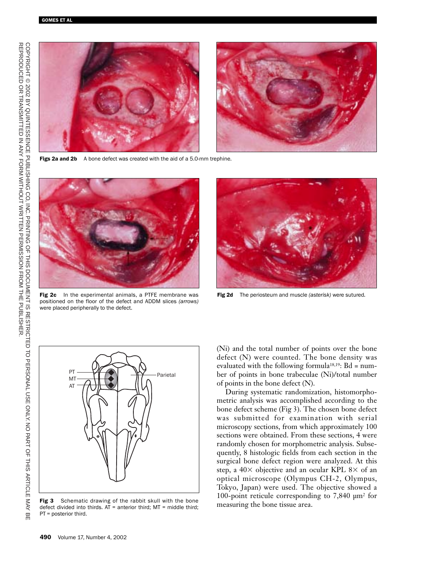

Figs 2a and 2b A bone defect was created with the aid of a 5.0-mm trephine.



Fig 2c In the experimental animals, a PTFE membrane was positioned on the floor of the defect and ADDM slices *(arrows)* were placed peripherally to the defect.



Fig 2d The periosteum and muscle *(asterisk)* were sutured*.*



Fig 3 Schematic drawing of the rabbit skull with the bone defect divided into thirds.  $AT =$  anterior third;  $MT =$  middle third; PT = posterior third.

(Ni) and the total number of points over the bone defect (N) were counted. The bone density was evaluated with the following formula<sup>18,19</sup>:  $Bd = num$ ber of points in bone trabeculae (Ni)/total number of points in the bone defect (N).

During systematic randomization, histomorphometric analysis was accomplished according to the bone defect scheme (Fig 3). The chosen bone defect was submitted for examination with serial microscopy sections, from which approximately 100 sections were obtained. From these sections, 4 were randomly chosen for morphometric analysis. Subsequently, 8 histologic fields from each section in the surgical bone defect region were analyzed. At this step, a  $40\times$  objective and an ocular KPL 8 $\times$  of an optical microscope (Olympus CH-2, Olympus, Tokyo, Japan) were used. The objective showed a 100-point reticule corresponding to 7,840 µm2 for measuring the bone tissue area.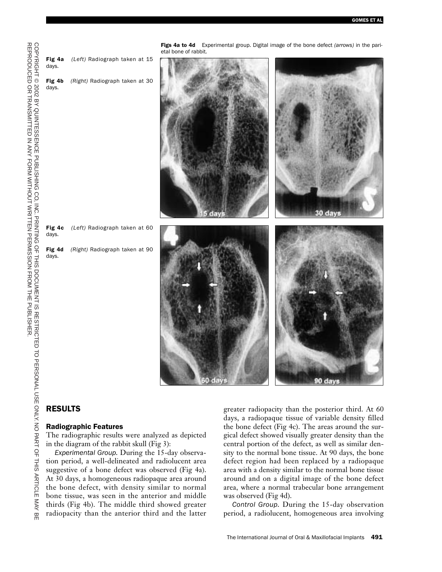

# RESULTS

#### Radiographic Features

The radiographic results were analyzed as depicted in the diagram of the rabbit skull (Fig 3):

*Experimental Group.* During the 15-day observation period, a well-delineated and radiolucent area suggestive of a bone defect was observed (Fig 4a). At 30 days, a homogeneous radiopaque area around the bone defect, with density similar to normal bone tissue, was seen in the anterior and middle thirds (Fig 4b). The middle third showed greater radiopacity than the anterior third and the latter greater radiopacity than the posterior third. At 60 days, a radiopaque tissue of variable density filled the bone defect (Fig 4c). The areas around the surgical defect showed visually greater density than the central portion of the defect, as well as similar density to the normal bone tissue. At 90 days, the bone defect region had been replaced by a radiopaque area with a density similar to the normal bone tissue around and on a digital image of the bone defect area, where a normal trabecular bone arrangement was observed (Fig 4d).

*Control Group.* During the 15-day observation period, a radiolucent, homogeneous area involving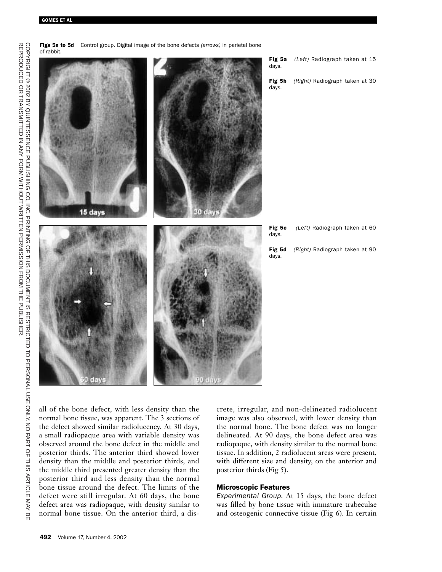

Figs 5a to 5d Control group. Digital image of the bone defects *(arrows)* in parietal bone

all of the bone defect, with less density than the normal bone tissue, was apparent. The 3 sections of the defect showed similar radiolucency. At 30 days, a small radiopaque area with variable density was observed around the bone defect in the middle and posterior thirds. The anterior third showed lower density than the middle and posterior thirds, and the middle third presented greater density than the posterior third and less density than the normal bone tissue around the defect. The limits of the defect were still irregular. At 60 days, the bone defect area was radiopaque, with density similar to normal bone tissue. On the anterior third, a dis-

crete, irregular, and non-delineated radiolucent image was also observed, with lower density than the normal bone. The bone defect was no longer delineated. At 90 days, the bone defect area was radiopaque, with density similar to the normal bone tissue. In addition, 2 radiolucent areas were present, with different size and density, on the anterior and posterior thirds (Fig 5).

#### Microscopic Features

*Experimental Group.* At 15 days, the bone defect was filled by bone tissue with immature trabeculae and osteogenic connective tissue (Fig 6). In certain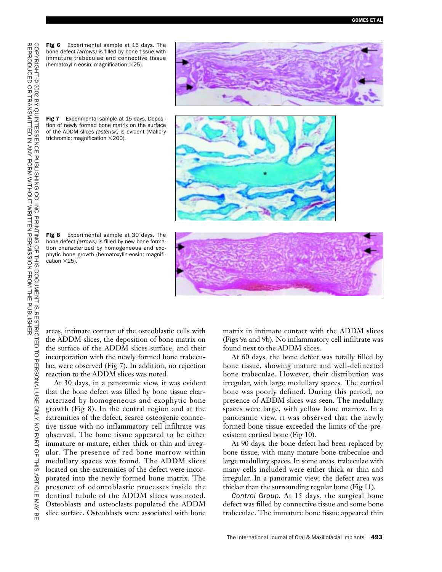Fig 6 Experimental sample at 15 days. The bone defect *(arrows)* is filled by bone tissue with immature trabeculae and connective tissue (hematoxylin-eosin; magnification  $\times$ 25).



Fig 7 Experimental sample at 15 days. Deposition of newly formed bone matrix on the surface of the ADDM slices *(asterisk)* is evident (Mallory trichromic; magnification  $\times$  200).



Fig 8 Experimental sample at 30 days. The bone defect *(arrows)* is filled by new bone formation characterized by homogeneous and exophytic bone growth (hematoxylin-eosin; magnification  $\times$  25).



areas, intimate contact of the osteoblastic cells with the ADDM slices, the deposition of bone matrix on the surface of the ADDM slices surface, and their incorporation with the newly formed bone trabeculae, were observed (Fig 7). In addition, no rejection reaction to the ADDM slices was noted.

At 30 days, in a panoramic view, it was evident that the bone defect was filled by bone tissue characterized by homogeneous and exophytic bone growth (Fig 8). In the central region and at the extremities of the defect, scarce osteogenic connective tissue with no inflammatory cell infiltrate was observed. The bone tissue appeared to be either immature or mature, either thick or thin and irregular. The presence of red bone marrow within medullary spaces was found. The ADDM slices located on the extremities of the defect were incorporated into the newly formed bone matrix. The presence of odontoblastic processes inside the dentinal tubule of the ADDM slices was noted. Osteoblasts and osteoclasts populated the ADDM slice surface. Osteoblasts were associated with bone

matrix in intimate contact with the ADDM slices (Figs 9a and 9b). No inflammatory cell infiltrate was found next to the ADDM slices.

At 60 days, the bone defect was totally filled by bone tissue, showing mature and well-delineated bone trabeculae. However, their distribution was irregular, with large medullary spaces. The cortical bone was poorly defined. During this period, no presence of ADDM slices was seen. The medullary spaces were large, with yellow bone marrow. In a panoramic view, it was observed that the newly formed bone tissue exceeded the limits of the preexistent cortical bone (Fig 10).

At 90 days, the bone defect had been replaced by bone tissue, with many mature bone trabeculae and large medullary spaces. In some areas, trabeculae with many cells included were either thick or thin and irregular. In a panoramic view, the defect area was thicker than the surrounding regular bone (Fig 11).

*Control Group.* At 15 days, the surgical bone defect was filled by connective tissue and some bone trabeculae. The immature bone tissue appeared thin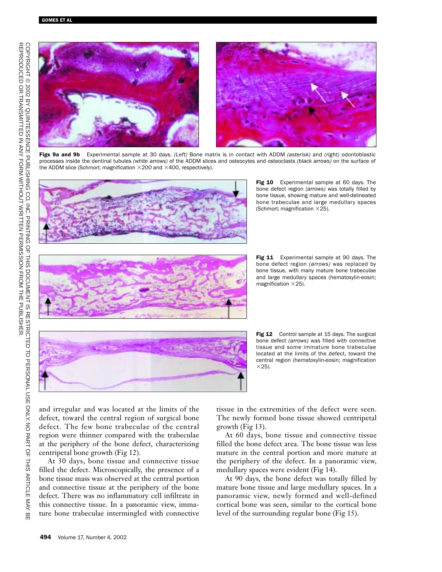

Figs 9a and 9b Experimental sample at 30 days. *(Left)* Bone matrix is in contact with ADDM *(asterisk)* and *(right)* odontoblastic processes inside the dentinal tubules *(white arrows)* of the ADDM slices and osteocytes and osteoclasts *(black arrows)* on the surface of the ADDM slice (Schmorl; magnification  $\times$  200 and  $\times$  400, respectively).



Fig 10 Experimental sample at 60 days. The bone defect region *(arrows)* was totally filled by bone tissue, showing mature and well-delineated bone trabeculae and large medullary spaces (Schmorl; magnification  $\times$ 25).



Fig 11 Experimental sample at 90 days. The bone defect region *(arrows)* was replaced by bone tissue, with many mature bone trabeculae and large medullary spaces (hematoxylin-eosin; magnification  $\times$ 25).

Fig 12 Control sample at 15 days. The surgical bone defect *(arrows)* was filled with connective tissue and some immature bone trabeculae located at the limits of the defect, toward the central region (hematoxylin-eosin; magnification  $\times$ 25).

and irregular and was located at the limits of the defect, toward the central region of surgical bone defect. The few bone trabeculae of the central region were thinner compared with the trabeculae at the periphery of the bone defect, characterizing centripetal bone growth (Fig 12).

At 30 days, bone tissue and connective tissue filled the defect. Microscopically, the presence of a bone tissue mass was observed at the central portion and connective tissue at the periphery of the bone defect. There was no inflammatory cell infiltrate in this connective tissue. In a panoramic view, immature bone trabeculae intermingled with connective tissue in the extremities of the defect were seen. The newly formed bone tissue showed centripetal growth (Fig 13).

At 60 days, bone tissue and connective tissue filled the bone defect area. The bone tissue was less mature in the central portion and more mature at the periphery of the defect. In a panoramic view, medullary spaces were evident (Fig 14).

At 90 days, the bone defect was totally filled by mature bone tissue and large medullary spaces. In a panoramic view, newly formed and well-defined cortical bone was seen, similar to the cortical bone level of the surrounding regular bone (Fig 15).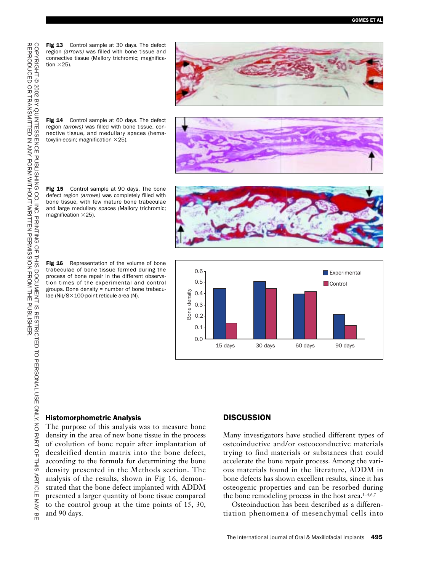Fig 13 Control sample at 30 days. The defect region *(arrows)* was filled with bone tissue and connective tissue (Mallory trichromic; magnification  $\times$  25).



Fig 14 Control sample at 60 days. The defect region *(arrows)* was filled with bone tissue, connective tissue, and medullary spaces (hematoxylin-eosin; magnification  $\times 25$ ).

Fig 15 Control sample at 90 days. The bone defect region *(arrows)* was completely filled with bone tissue, with few mature bone trabeculae and large medullary spaces (Mallory trichromic; magnification  $\times$ 25).

Fig 16 Representation of the volume of bone trabeculae of bone tissue formed during the process of bone repair in the different observation times of the experimental and control groups. Bone density = number of bone trabeculae (Ni)/ $8\times100$ -point reticule area (N).







#### Histomorphometric Analysis

The purpose of this analysis was to measure bone density in the area of new bone tissue in the process of evolution of bone repair after implantation of decalcified dentin matrix into the bone defect, according to the formula for determining the bone density presented in the Methods section. The analysis of the results, shown in Fig 16, demonstrated that the bone defect implanted with ADDM presented a larger quantity of bone tissue compared to the control group at the time points of 15, 30, and 90 days.

#### **DISCUSSION**

Many investigators have studied different types of osteoinductive and/or osteoconductive materials trying to find materials or substances that could accelerate the bone repair process. Among the various materials found in the literature, ADDM in bone defects has shown excellent results, since it has osteogenic properties and can be resorbed during the bone remodeling process in the host area.<sup>1-4,6,7</sup>

Osteoinduction has been described as a differentiation phenomena of mesenchymal cells into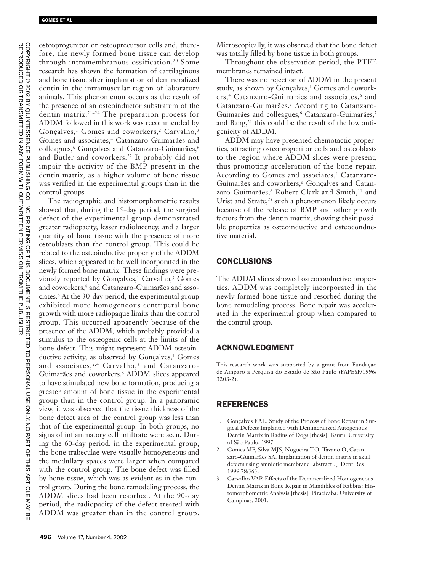osteoprogenitor or osteoprecursor cells and, therefore, the newly formed bone tissue can develop through intramembranous ossification.20 Some research has shown the formation of cartilaginous and bone tissue after implantation of demineralized dentin in the intramuscular region of laboratory animals. This phenomenon occurs as the result of the presence of an osteoinductor substratum of the dentin matrix.21–24 The preparation process for ADDM followed in this work was recommended by Gonçalves,<sup>1</sup> Gomes and coworkers,<sup>2</sup> Carvalho,<sup>3</sup> Gomes and associates,<sup>4</sup> Catanzaro-Guimarães and colleagues,<sup>6</sup> Gonçalves and Catanzaro-Guimarães,<sup>8</sup> and Butler and coworkers.22 It probably did not impair the activity of the BMP present in the dentin matrix, as a higher volume of bone tissue was verified in the experimental groups than in the control groups.

The radiographic and histomorphometric results showed that, during the 15-day period, the surgical defect of the experimental group demonstrated greater radiopacity, lesser radiolucency, and a larger quantity of bone tissue with the presence of more osteoblasts than the control group. This could be related to the osteoinductive property of the ADDM slices, which appeared to be well incorporated in the newly formed bone matrix. These findings were previously reported by Gonçalves,<sup>1</sup> Carvalho,<sup>3</sup> Gomes and coworkers,<sup>4</sup> and Catanzaro-Guimarães and associates.6 At the 30-day period, the experimental group exhibited more homogeneous centripetal bone growth with more radiopaque limits than the control group. This occurred apparently because of the presence of the ADDM, which probably provided a stimulus to the osteogenic cells at the limits of the bone defect. This might represent ADDM osteoinductive activity, as observed by Gonçalves,<sup>1</sup> Gomes and associates,<sup>2,4</sup> Carvalho,<sup>3</sup> and Catanzaro-Guimarães and coworkers.6 ADDM slices appeared to have stimulated new bone formation, producing a greater amount of bone tissue in the experimental group than in the control group. In a panoramic view, it was observed that the tissue thickness of the bone defect area of the control group was less than that of the experimental group. In both groups, no signs of inflammatory cell infiltrate were seen. During the 60-day period, in the experimental group, the bone trabeculae were visually homogeneous and the medullary spaces were larger when compared with the control group. The bone defect was filled by bone tissue, which was as evident as in the control group. During the bone remodeling process, the ADDM slices had been resorbed. At the 90-day period, the radiopacity of the defect treated with ADDM was greater than in the control group.

Microscopically, it was observed that the bone defect was totally filled by bone tissue in both groups.

Throughout the observation period, the PTFE membranes remained intact.

There was no rejection of ADDM in the present study, as shown by Gonçalves,<sup>1</sup> Gomes and coworkers,<sup>4</sup> Catanzaro-Guimarães and associates,<sup>6</sup> and Catanzaro-Guimarães.7 According to Catanzaro-Guimarães and colleagues,<sup>6</sup> Catanzaro-Guimarães,<sup>7</sup> and Bang,<sup>21</sup> this could be the result of the low antigenicity of ADDM.

ADDM may have presented chemotactic properties, attracting osteoprogenitor cells and osteoblasts to the region where ADDM slices were present, thus promoting acceleration of the bone repair. According to Gomes and associates,<sup>4</sup> Catanzaro-Guimarães and coworkers,<sup>6</sup> Gonçalves and Catanzaro-Guimarães,<sup>8</sup> Robert-Clark and Smith,<sup>11</sup> and Urist and Strate,<sup>25</sup> such a phenomenon likely occurs because of the release of BMP and other growth factors from the dentin matrix, showing their possible properties as osteoinductive and osteoconductive material.

## **CONCLUSIONS**

The ADDM slices showed osteoconductive properties. ADDM was completely incorporated in the newly formed bone tissue and resorbed during the bone remodeling process. Bone repair was accelerated in the experimental group when compared to the control group.

## ACKNOWLEDGMENT

This research work was supported by a grant from Fundação de Amparo a Pesquisa do Estado de São Paulo (FAPESP/1996/ 3203-2).

# REFERENCES

- 1. Gonçalves EAL. Study of the Process of Bone Repair in Surgical Defects Implanted with Demineralized Autogenous Dentin Matrix in Radius of Dogs [thesis]. Bauru: University of São Paulo, 1997.
- 2. Gomes MF, Silva MJS, Nogueira TO, Tavano O, Catanzaro-Guimarães SA. Implantation of dentin matrix in skull defects using amniotic membrane [abstract]. J Dent Res 1999;78:363.
- 3. Carvalho VAP. Effects of the Demineralized Homogeneous Dentin Matrix in Bone Repair in Mandibles of Rabbits: Histomorphometric Analysis [thesis]. Piracicaba: University of Campinas, 2001.